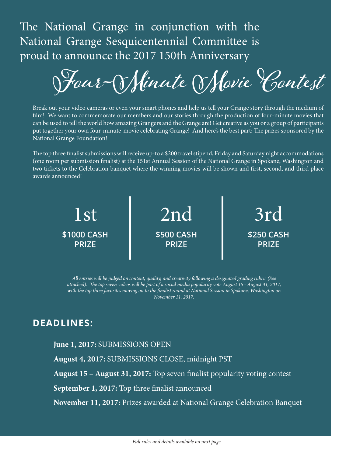The National Grange in conjunction with the National Grange Sesquicentennial Committee is proud to announce the 2017 150th Anniversary

**Four-Minute Movie Contest**

Break out your video cameras or even your smart phones and help us tell your Grange story through the medium of film! We want to commemorate our members and our stories through the production of four-minute movies that can be used to tell the world how amazing Grangers and the Grange are! Get creative as you or a group of participants put together your own four-minute-movie celebrating Grange! And here's the best part: The prizes sponsored by the National Grange Foundation!

The top three finalist submissions will receive up-to a \$200 travel stipend, Friday and Saturday night accommodations (one room per submission finalist) at the 151st Annual Session of the National Grange in Spokane, Washington and two tickets to the Celebration banquet where the winning movies will be shown and first, second, and third place awards announced!



*All entries will be judged on content, quality, and creativity following a designated grading rubric (See attached). The top seven videos will be part of a social media popularity vote August 15 - August 31, 2017, with the top three favorites moving on to the finalist round at National Session in Spokane, Washington on November 11, 2017.*

## **DEADLINES:**

## **June 1, 2017:** SUBMISSIONS OPEN

**August 4, 2017:** SUBMISSIONS CLOSE, midnight PST

**August 15 – August 31, 2017:** Top seven finalist popularity voting contest

**September 1, 2017:** Top three finalist announced

**November 11, 2017:** Prizes awarded at National Grange Celebration Banquet